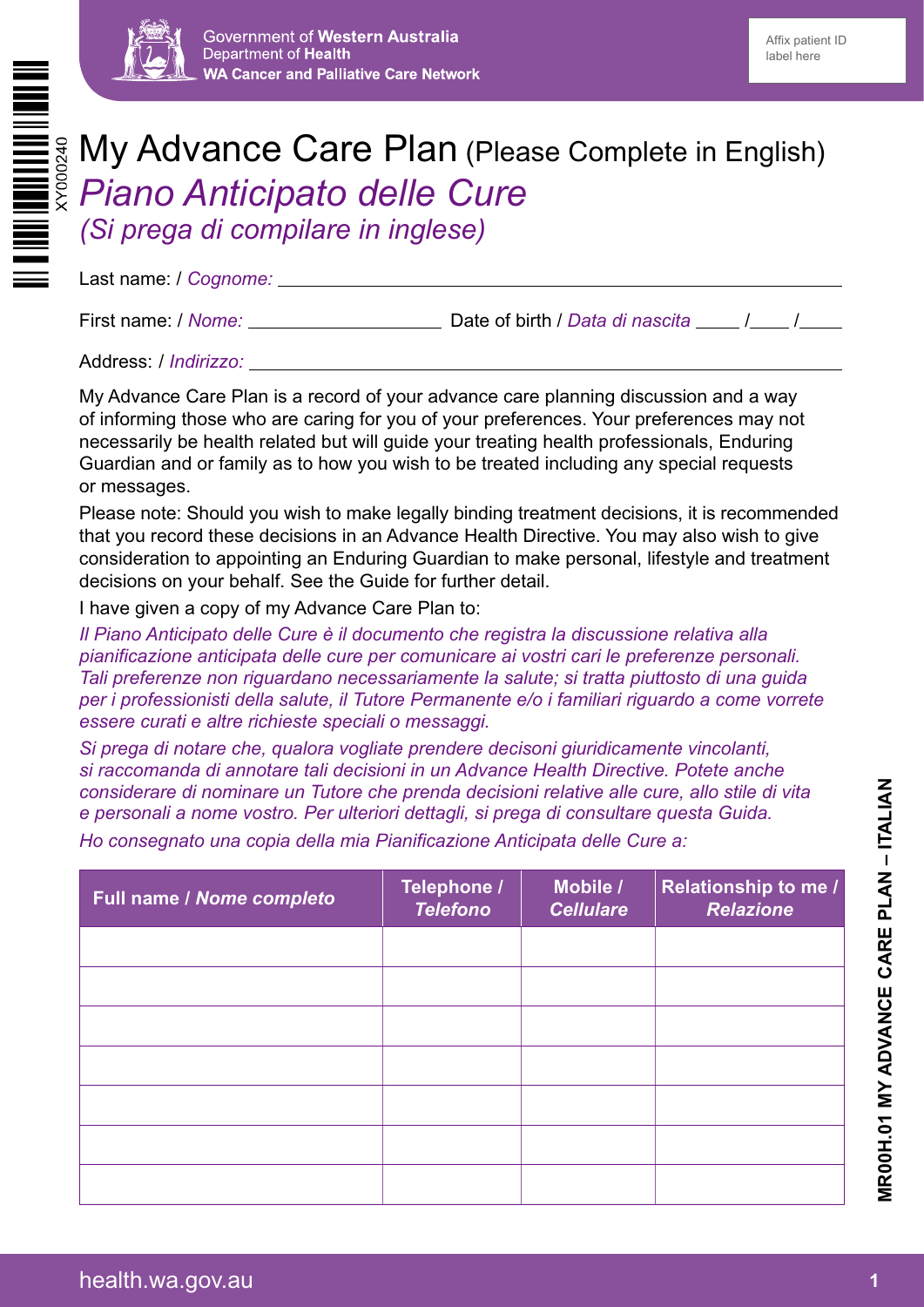



# My Advance Care Plan (Please Complete in English) *Piano Anticipato delle Cure (Si prega di compilare in inglese)*

Last name: / *Cognome:*

First name: / *Nome:* Nome: New York Cate of birth / *Data di nascita* New York / New York Cate Of birth / *Data di nascita* 

Address: / *Indirizzo:*

My Advance Care Plan is a record of your advance care planning discussion and a way of informing those who are caring for you of your preferences. Your preferences may not necessarily be health related but will guide your treating health professionals, Enduring Guardian and or family as to how you wish to be treated including any special requests or messages.

Please note: Should you wish to make legally binding treatment decisions, it is recommended that you record these decisions in an Advance Health Directive. You may also wish to give consideration to appointing an Enduring Guardian to make personal, lifestyle and treatment decisions on your behalf. See the Guide for further detail.

I have given a copy of my Advance Care Plan to:

*Il Piano Anticipato delle Cure è il documento che registra la discussione relativa alla pianificazione anticipata delle cure per comunicare ai vostri cari le preferenze personali. Tali preferenze non riguardano necessariamente la salute; si tratta piuttosto di una guida per i professionisti della salute, il Tutore Permanente e/o i familiari riguardo a come vorrete essere curati e altre richieste speciali o messaggi.*

*Si prega di notare che, qualora vogliate prendere decisoni giuridicamente vincolanti, si raccomanda di annotare tali decisioni in un Advance Health Directive. Potete anche considerare di nominare un Tutore che prenda decisioni relative alle cure, allo stile di vita e personali a nome vostro. Per ulteriori dettagli, si prega di consultare questa Guida.*

*Ho consegnato una copia della mia Pianificazione Anticipata delle Cure a:*

| Full name / Nome completo | Telephone /<br><b>Telefono</b> | Mobile /<br><b>Cellulare</b> | <b>Relationship to me /</b><br><b>Relazione</b> |
|---------------------------|--------------------------------|------------------------------|-------------------------------------------------|
|                           |                                |                              |                                                 |
|                           |                                |                              |                                                 |
|                           |                                |                              |                                                 |
|                           |                                |                              |                                                 |
|                           |                                |                              |                                                 |
|                           |                                |                              |                                                 |
|                           |                                |                              |                                                 |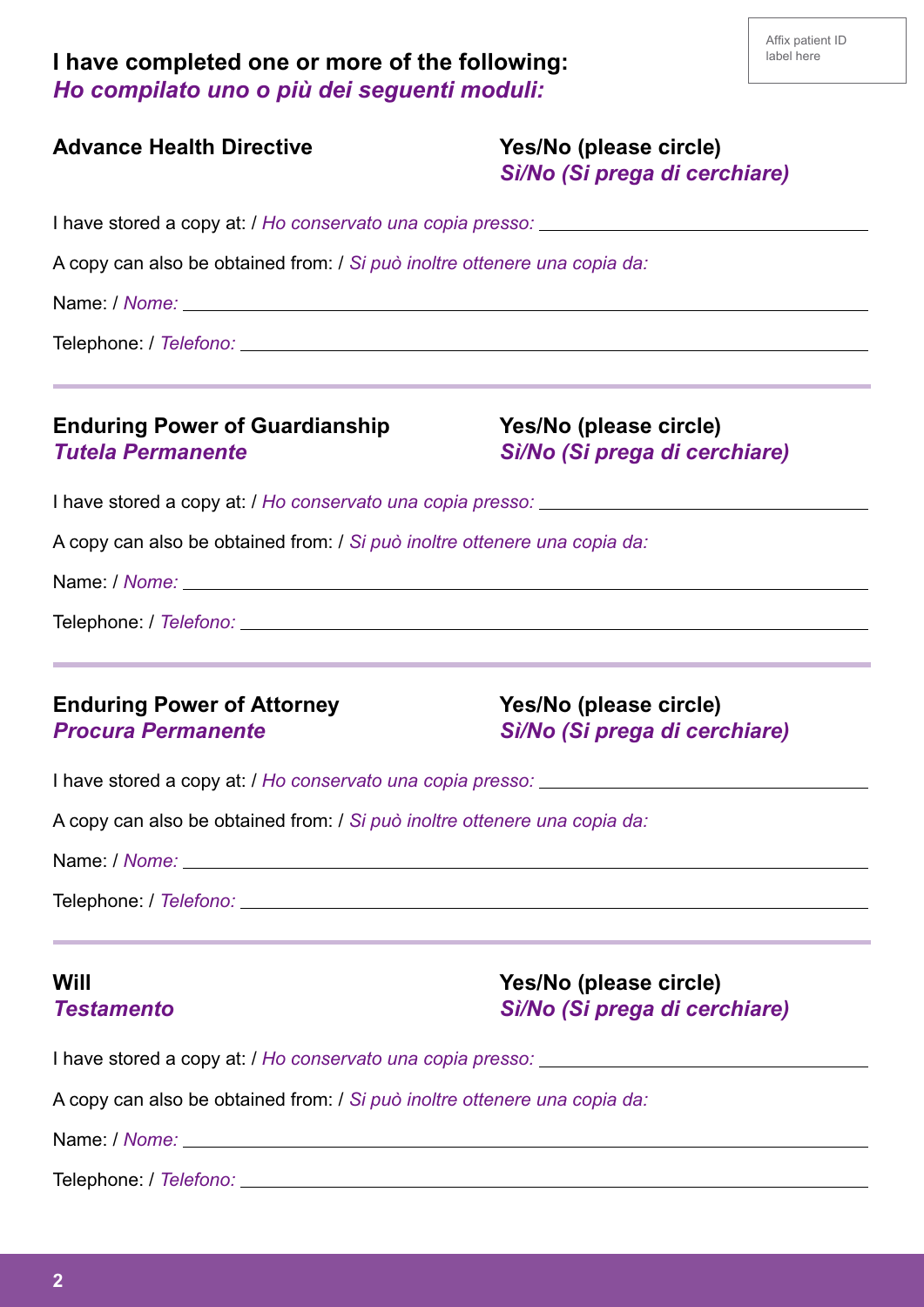| I have completed one or more of the following: |  |  |
|------------------------------------------------|--|--|
| Ho compilato uno o più dei seguenti moduli:    |  |  |

| <b>Advance Health Directive</b>                                           | Yes/No (please circle)<br>Sì/No (Si prega di cerchiare)                                                                                     |  |  |  |                                                                   |                                                         |
|---------------------------------------------------------------------------|---------------------------------------------------------------------------------------------------------------------------------------------|--|--|--|-------------------------------------------------------------------|---------------------------------------------------------|
| A copy can also be obtained from: / Si può inoltre ottenere una copia da: |                                                                                                                                             |  |  |  |                                                                   |                                                         |
|                                                                           |                                                                                                                                             |  |  |  |                                                                   |                                                         |
|                                                                           |                                                                                                                                             |  |  |  | <b>Enduring Power of Guardianship</b><br><b>Tutela Permanente</b> | Yes/No (please circle)<br>Sì/No (Si prega di cerchiare) |
|                                                                           |                                                                                                                                             |  |  |  |                                                                   |                                                         |
| A copy can also be obtained from: / Si può inoltre ottenere una copia da: |                                                                                                                                             |  |  |  |                                                                   |                                                         |
|                                                                           |                                                                                                                                             |  |  |  |                                                                   |                                                         |
|                                                                           |                                                                                                                                             |  |  |  |                                                                   |                                                         |
| <b>Enduring Power of Attorney</b><br><b>Procura Permanente</b>            | Yes/No (please circle)<br>Sì/No (Si prega di cerchiare)                                                                                     |  |  |  |                                                                   |                                                         |
|                                                                           | I have stored a copy at: / Ho conservato una copia presso: ______________________                                                           |  |  |  |                                                                   |                                                         |
| A copy can also be obtained from: / Si può inoltre ottenere una copia da: |                                                                                                                                             |  |  |  |                                                                   |                                                         |
|                                                                           |                                                                                                                                             |  |  |  |                                                                   |                                                         |
|                                                                           |                                                                                                                                             |  |  |  |                                                                   |                                                         |
| Will<br><b>Testamento</b>                                                 | ,我们也不能会在这里,我们的人们就会在这里,我们的人们就会在这里,我们的人们就会在这里,我们的人们就会在这里,我们的人们就会在这里,我们的人们就会在这里,我们的<br>Yes/No (please circle)<br>Sì/No (Si prega di cerchiare) |  |  |  |                                                                   |                                                         |
|                                                                           |                                                                                                                                             |  |  |  |                                                                   |                                                         |
| A copy can also be obtained from: / Si può inoltre ottenere una copia da: |                                                                                                                                             |  |  |  |                                                                   |                                                         |
|                                                                           |                                                                                                                                             |  |  |  |                                                                   |                                                         |
|                                                                           |                                                                                                                                             |  |  |  |                                                                   |                                                         |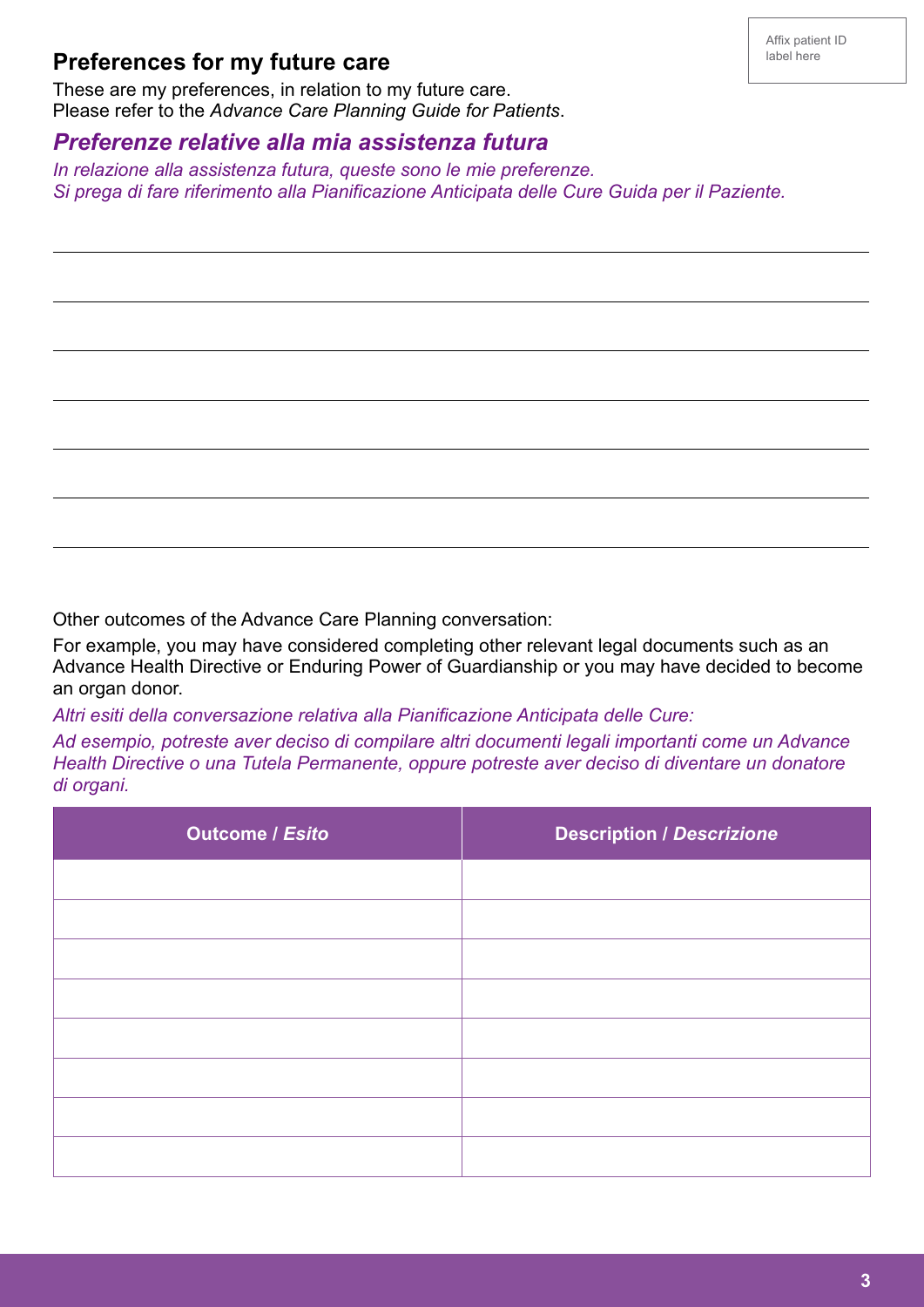## **Preferences for my future care**

 $\overline{a}$ 

J

J

 $\overline{a}$ 

L

 $\overline{a}$ 

These are my preferences, in relation to my future care. Please refer to the *Advance Care Planning Guide for Patients*.

#### *Preferenze relative alla mia assistenza futura*

*In relazione alla assistenza futura, queste sono le mie preferenze. Si prega di fare riferimento alla Pianificazione Anticipata delle Cure Guida per il Paziente.*

Other outcomes of the Advance Care Planning conversation:

For example, you may have considered completing other relevant legal documents such as an Advance Health Directive or Enduring Power of Guardianship or you may have decided to become an organ donor.

*Altri esiti della conversazione relativa alla Pianificazione Anticipata delle Cure:*

*Ad esempio, potreste aver deciso di compilare altri documenti legali importanti come un Advance Health Directive o una Tutela Permanente, oppure potreste aver deciso di diventare un donatore di organi.*

| <b>Outcome / Esito</b> | <b>Description / Descrizione</b> |
|------------------------|----------------------------------|
|                        |                                  |
|                        |                                  |
|                        |                                  |
|                        |                                  |
|                        |                                  |
|                        |                                  |
|                        |                                  |
|                        |                                  |